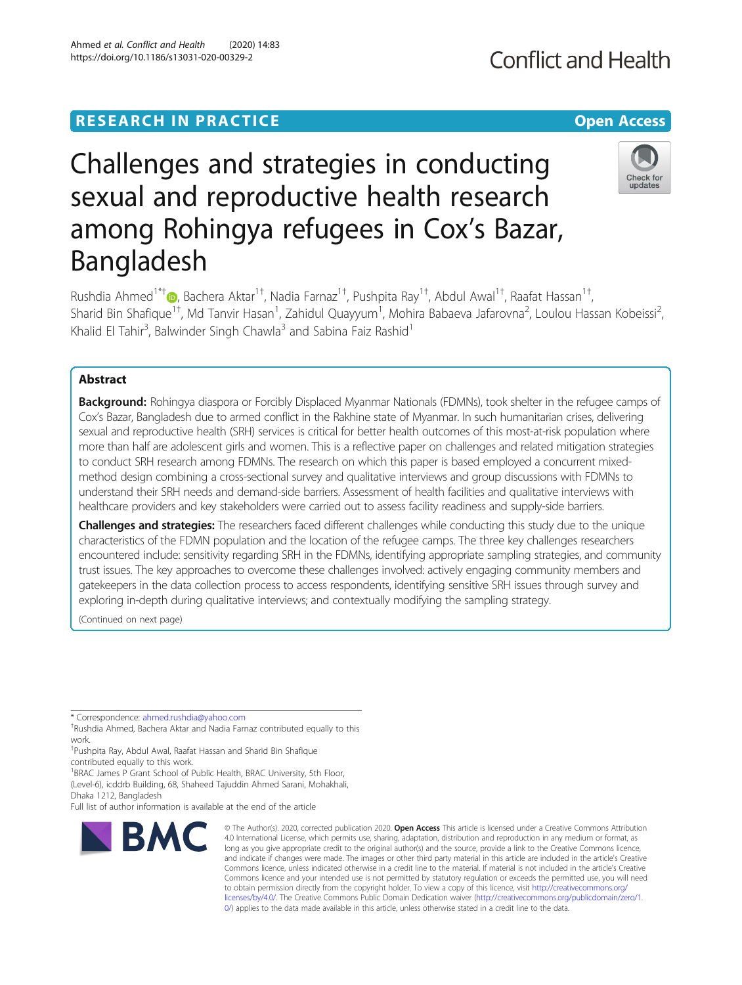# **RESEARCH IN PRACTICE CONSUMING THE OPEN ACCESS**

# Challenges and strategies in conducting sexual and reproductive health research among Rohingya refugees in Cox's Bazar, Bangladesh

Rushdia Ahmed<sup>1\*†</sup> (@[,](http://orcid.org/0000-0001-6917-3266) Bachera Aktar<sup>1†</sup>, Nadia Farnaz<sup>1†</sup>, Pushpita Ray<sup>1†</sup>, Abdul Awal<sup>1†</sup>, Raafat Hassan<sup>1†</sup> , Sharid Bin Shafique<sup>1+</sup>, Md Tanvir Hasan<sup>1</sup>, Zahidul Quayyum<sup>1</sup>, Mohira Babaeva Jafarovna<sup>2</sup>, Loulou Hassan Kobeissi<sup>2</sup> , Khalid El Tahir<sup>3</sup>, Balwinder Singh Chawla<sup>3</sup> and Sabina Faiz Rashid<sup>1</sup>

# Abstract

Background: Rohingya diaspora or Forcibly Displaced Myanmar Nationals (FDMNs), took shelter in the refugee camps of Cox's Bazar, Bangladesh due to armed conflict in the Rakhine state of Myanmar. In such humanitarian crises, delivering sexual and reproductive health (SRH) services is critical for better health outcomes of this most-at-risk population where more than half are adolescent girls and women. This is a reflective paper on challenges and related mitigation strategies to conduct SRH research among FDMNs. The research on which this paper is based employed a concurrent mixedmethod design combining a cross-sectional survey and qualitative interviews and group discussions with FDMNs to understand their SRH needs and demand-side barriers. Assessment of health facilities and qualitative interviews with healthcare providers and key stakeholders were carried out to assess facility readiness and supply-side barriers.

Challenges and strategies: The researchers faced different challenges while conducting this study due to the unique characteristics of the FDMN population and the location of the refugee camps. The three key challenges researchers encountered include: sensitivity regarding SRH in the FDMNs, identifying appropriate sampling strategies, and community trust issues. The key approaches to overcome these challenges involved: actively engaging community members and gatekeepers in the data collection process to access respondents, identifying sensitive SRH issues through survey and exploring in-depth during qualitative interviews; and contextually modifying the sampling strategy.

(Continued on next page)

\* Correspondence: [ahmed.rushdia@yahoo.com](mailto:ahmed.rushdia@yahoo.com) †

**BMC** 

<sup>+</sup>Rushdia Ahmed, Bachera Aktar and Nadia Farnaz contributed equally to this work.

† Pushpita Ray, Abdul Awal, Raafat Hassan and Sharid Bin Shafique contributed equally to this work.

<sup>1</sup>BRAC James P Grant School of Public Health, BRAC University, 5th Floor, (Level-6), icddrb Building, 68, Shaheed Tajuddin Ahmed Sarani, Mohakhali,

Dhaka 1212, Bangladesh

Full list of author information is available at the end of the article

## Ahmed et al. Conflict and Health (2020) 14:83 https://doi.org/10.1186/s13031-020-00329-2

© The Author(s). 2020, corrected publication 2020. Open Access This article is licensed under a Creative Commons Attribution 4.0 International License, which permits use, sharing, adaptation, distribution and reproduction in any medium or format, as long as you give appropriate credit to the original author(s) and the source, provide a link to the Creative Commons licence, and indicate if changes were made. The images or other third party material in this article are included in the article's Creative Commons licence, unless indicated otherwise in a credit line to the material. If material is not included in the article's Creative Commons licence and your intended use is not permitted by statutory regulation or exceeds the permitted use, you will need to obtain permission directly from the copyright holder. To view a copy of this licence, visit [http://creativecommons.org/](http://creativecommons.org/licenses/by/4.0/) [licenses/by/4.0/.](http://creativecommons.org/licenses/by/4.0/) The Creative Commons Public Domain Dedication waiver ([http://creativecommons.org/publicdomain/zero/1.](http://creativecommons.org/publicdomain/zero/1.0/) [0/\)](http://creativecommons.org/publicdomain/zero/1.0/) applies to the data made available in this article, unless otherwise stated in a credit line to the data.



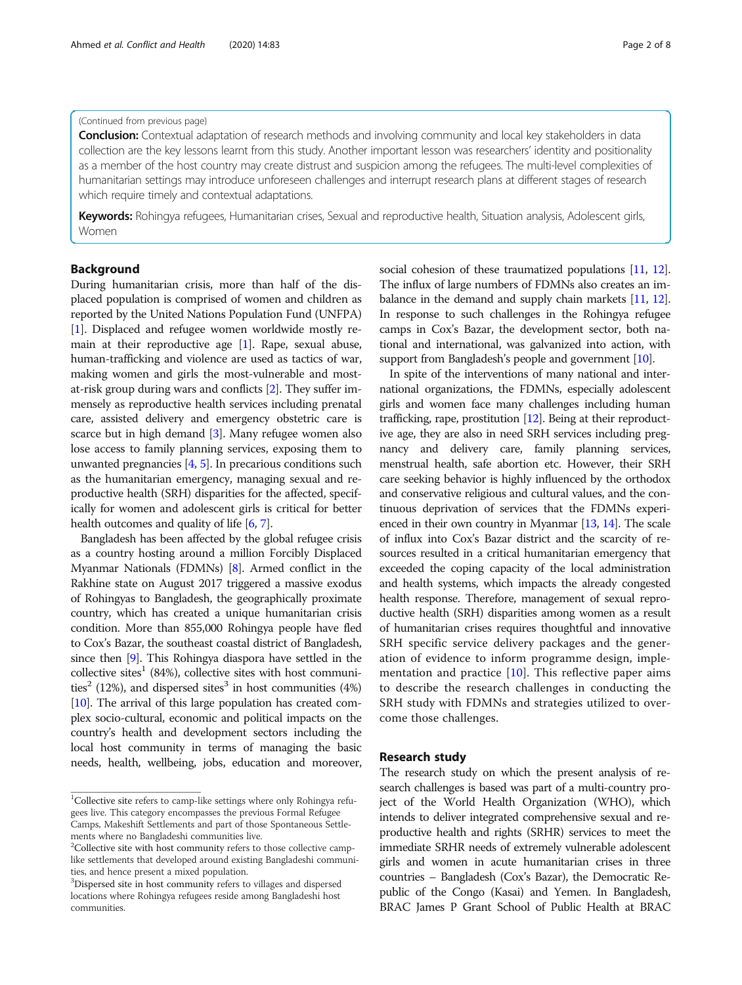#### (Continued from previous page)

**Conclusion:** Contextual adaptation of research methods and involving community and local key stakeholders in data collection are the key lessons learnt from this study. Another important lesson was researchers' identity and positionality as a member of the host country may create distrust and suspicion among the refugees. The multi-level complexities of humanitarian settings may introduce unforeseen challenges and interrupt research plans at different stages of research which require timely and contextual adaptations.

Keywords: Rohingya refugees, Humanitarian crises, Sexual and reproductive health, Situation analysis, Adolescent girls, Women

#### Background

During humanitarian crisis, more than half of the displaced population is comprised of women and children as reported by the United Nations Population Fund (UNFPA) [[1\]](#page-7-0). Displaced and refugee women worldwide mostly remain at their reproductive age [[1](#page-7-0)]. Rape, sexual abuse, human-trafficking and violence are used as tactics of war, making women and girls the most-vulnerable and mostat-risk group during wars and conflicts [\[2](#page-7-0)]. They suffer immensely as reproductive health services including prenatal care, assisted delivery and emergency obstetric care is scarce but in high demand [\[3\]](#page-7-0). Many refugee women also lose access to family planning services, exposing them to unwanted pregnancies [\[4,](#page-7-0) [5](#page-7-0)]. In precarious conditions such as the humanitarian emergency, managing sexual and reproductive health (SRH) disparities for the affected, specifically for women and adolescent girls is critical for better health outcomes and quality of life [[6](#page-7-0), [7\]](#page-7-0).

Bangladesh has been affected by the global refugee crisis as a country hosting around a million Forcibly Displaced Myanmar Nationals (FDMNs) [\[8](#page-7-0)]. Armed conflict in the Rakhine state on August 2017 triggered a massive exodus of Rohingyas to Bangladesh, the geographically proximate country, which has created a unique humanitarian crisis condition. More than 855,000 Rohingya people have fled to Cox's Bazar, the southeast coastal district of Bangladesh, since then [\[9](#page-7-0)]. This Rohingya diaspora have settled in the collective sites<sup>1</sup> (84%), collective sites with host communities<sup>2</sup> (12%), and dispersed sites<sup>3</sup> in host communities (4%) [[10](#page-7-0)]. The arrival of this large population has created complex socio-cultural, economic and political impacts on the country's health and development sectors including the local host community in terms of managing the basic needs, health, wellbeing, jobs, education and moreover, social cohesion of these traumatized populations [[11](#page-7-0), [12](#page-7-0)]. The influx of large numbers of FDMNs also creates an imbalance in the demand and supply chain markets [\[11,](#page-7-0) [12](#page-7-0)]. In response to such challenges in the Rohingya refugee camps in Cox's Bazar, the development sector, both national and international, was galvanized into action, with support from Bangladesh's people and government [\[10\]](#page-7-0).

In spite of the interventions of many national and international organizations, the FDMNs, especially adolescent girls and women face many challenges including human trafficking, rape, prostitution [\[12\]](#page-7-0). Being at their reproductive age, they are also in need SRH services including pregnancy and delivery care, family planning services, menstrual health, safe abortion etc. However, their SRH care seeking behavior is highly influenced by the orthodox and conservative religious and cultural values, and the continuous deprivation of services that the FDMNs experienced in their own country in Myanmar [[13](#page-7-0), [14](#page-7-0)]. The scale of influx into Cox's Bazar district and the scarcity of resources resulted in a critical humanitarian emergency that exceeded the coping capacity of the local administration and health systems, which impacts the already congested health response. Therefore, management of sexual reproductive health (SRH) disparities among women as a result of humanitarian crises requires thoughtful and innovative SRH specific service delivery packages and the generation of evidence to inform programme design, implementation and practice  $[10]$  $[10]$ . This reflective paper aims to describe the research challenges in conducting the SRH study with FDMNs and strategies utilized to overcome those challenges.

#### Research study

The research study on which the present analysis of research challenges is based was part of a multi-country project of the World Health Organization (WHO), which intends to deliver integrated comprehensive sexual and reproductive health and rights (SRHR) services to meet the immediate SRHR needs of extremely vulnerable adolescent girls and women in acute humanitarian crises in three countries – Bangladesh (Cox's Bazar), the Democratic Republic of the Congo (Kasai) and Yemen. In Bangladesh, BRAC James P Grant School of Public Health at BRAC

<sup>&</sup>lt;sup>1</sup>Collective site refers to camp-like settings where only Rohingya refugees live. This category encompasses the previous Formal Refugee Camps, Makeshift Settlements and part of those Spontaneous Settlements where no Bangladeshi communities live.

<sup>&</sup>lt;sup>2</sup>Collective site with host community refers to those collective camplike settlements that developed around existing Bangladeshi communities, and hence present a mixed population.

<sup>&</sup>lt;sup>3</sup>Dispersed site in host community refers to villages and dispersed locations where Rohingya refugees reside among Bangladeshi host communities.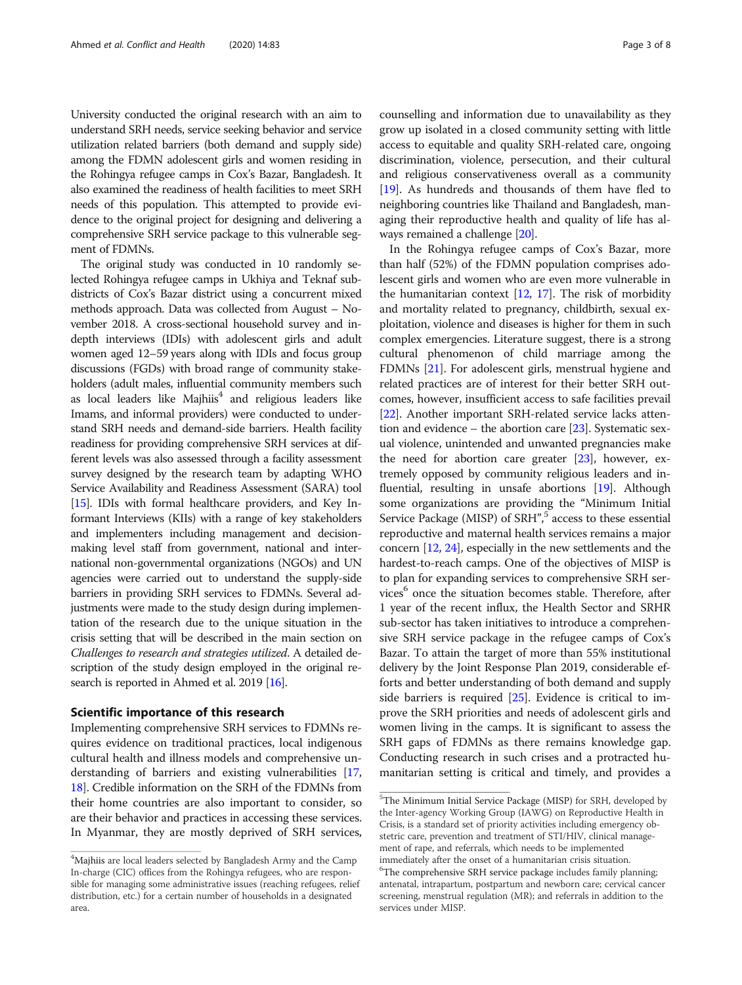University conducted the original research with an aim to understand SRH needs, service seeking behavior and service utilization related barriers (both demand and supply side) among the FDMN adolescent girls and women residing in the Rohingya refugee camps in Cox's Bazar, Bangladesh. It also examined the readiness of health facilities to meet SRH needs of this population. This attempted to provide evidence to the original project for designing and delivering a comprehensive SRH service package to this vulnerable segment of FDMNs.

The original study was conducted in 10 randomly selected Rohingya refugee camps in Ukhiya and Teknaf subdistricts of Cox's Bazar district using a concurrent mixed methods approach. Data was collected from August – November 2018. A cross-sectional household survey and indepth interviews (IDIs) with adolescent girls and adult women aged 12–59 years along with IDIs and focus group discussions (FGDs) with broad range of community stakeholders (adult males, influential community members such as local leaders like  $M$ ajhiis $4$  and religious leaders like Imams, and informal providers) were conducted to understand SRH needs and demand-side barriers. Health facility readiness for providing comprehensive SRH services at different levels was also assessed through a facility assessment survey designed by the research team by adapting WHO Service Availability and Readiness Assessment (SARA) tool [[15](#page-7-0)]. IDIs with formal healthcare providers, and Key Informant Interviews (KIIs) with a range of key stakeholders and implementers including management and decisionmaking level staff from government, national and international non-governmental organizations (NGOs) and UN agencies were carried out to understand the supply-side barriers in providing SRH services to FDMNs. Several adjustments were made to the study design during implementation of the research due to the unique situation in the crisis setting that will be described in the main section on Challenges to research and strategies utilized. A detailed description of the study design employed in the original research is reported in Ahmed et al. 2019 [\[16\]](#page-7-0).

#### Scientific importance of this research

Implementing comprehensive SRH services to FDMNs requires evidence on traditional practices, local indigenous cultural health and illness models and comprehensive understanding of barriers and existing vulnerabilities [[17](#page-7-0), [18](#page-7-0)]. Credible information on the SRH of the FDMNs from their home countries are also important to consider, so are their behavior and practices in accessing these services. In Myanmar, they are mostly deprived of SRH services,

counselling and information due to unavailability as they grow up isolated in a closed community setting with little access to equitable and quality SRH-related care, ongoing discrimination, violence, persecution, and their cultural and religious conservativeness overall as a community [[19](#page-7-0)]. As hundreds and thousands of them have fled to neighboring countries like Thailand and Bangladesh, managing their reproductive health and quality of life has always remained a challenge [[20](#page-7-0)].

In the Rohingya refugee camps of Cox's Bazar, more than half (52%) of the FDMN population comprises adolescent girls and women who are even more vulnerable in the humanitarian context  $[12, 17]$  $[12, 17]$  $[12, 17]$ . The risk of morbidity and mortality related to pregnancy, childbirth, sexual exploitation, violence and diseases is higher for them in such complex emergencies. Literature suggest, there is a strong cultural phenomenon of child marriage among the FDMNs [\[21](#page-7-0)]. For adolescent girls, menstrual hygiene and related practices are of interest for their better SRH outcomes, however, insufficient access to safe facilities prevail [[22](#page-7-0)]. Another important SRH-related service lacks attention and evidence – the abortion care [[23](#page-7-0)]. Systematic sexual violence, unintended and unwanted pregnancies make the need for abortion care greater  $[23]$  $[23]$ , however, extremely opposed by community religious leaders and influential, resulting in unsafe abortions [[19](#page-7-0)]. Although some organizations are providing the "Minimum Initial Service Package (MISP) of SRH",<sup>5</sup> access to these essential reproductive and maternal health services remains a major concern [[12](#page-7-0), [24\]](#page-7-0), especially in the new settlements and the hardest-to-reach camps. One of the objectives of MISP is to plan for expanding services to comprehensive SRH services<sup>6</sup> once the situation becomes stable. Therefore, after 1 year of the recent influx, the Health Sector and SRHR sub-sector has taken initiatives to introduce a comprehensive SRH service package in the refugee camps of Cox's Bazar. To attain the target of more than 55% institutional delivery by the Joint Response Plan 2019, considerable efforts and better understanding of both demand and supply side barriers is required [\[25\]](#page-7-0). Evidence is critical to improve the SRH priorities and needs of adolescent girls and women living in the camps. It is significant to assess the SRH gaps of FDMNs as there remains knowledge gap. Conducting research in such crises and a protracted humanitarian setting is critical and timely, and provides a

 $^{4}$ Majhiis are local leaders selected by Bangladesh Army and the Camp In-charge (CIC) offices from the Rohingya refugees, who are responsible for managing some administrative issues (reaching refugees, relief distribution, etc.) for a certain number of households in a designated area.

<sup>&</sup>lt;sup>5</sup>The Minimum Initial Service Package (MISP) for SRH, developed by the Inter-agency Working Group (IAWG) on Reproductive Health in Crisis, is a standard set of priority activities including emergency obstetric care, prevention and treatment of STI/HIV, clinical management of rape, and referrals, which needs to be implemented immediately after the onset of a humanitarian crisis situation.

<sup>&</sup>lt;sup>6</sup>The comprehensive SRH service package includes family planning; antenatal, intrapartum, postpartum and newborn care; cervical cancer screening, menstrual regulation (MR); and referrals in addition to the services under MISP.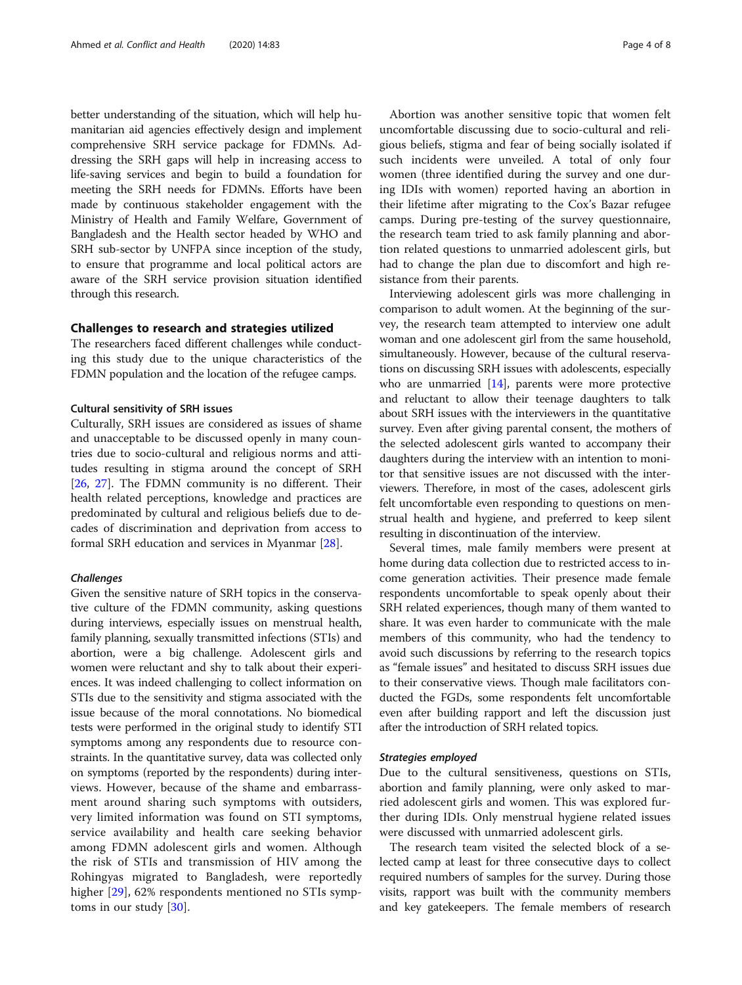better understanding of the situation, which will help humanitarian aid agencies effectively design and implement comprehensive SRH service package for FDMNs. Addressing the SRH gaps will help in increasing access to life-saving services and begin to build a foundation for meeting the SRH needs for FDMNs. Efforts have been made by continuous stakeholder engagement with the Ministry of Health and Family Welfare, Government of Bangladesh and the Health sector headed by WHO and SRH sub-sector by UNFPA since inception of the study, to ensure that programme and local political actors are aware of the SRH service provision situation identified through this research.

#### Challenges to research and strategies utilized

The researchers faced different challenges while conducting this study due to the unique characteristics of the FDMN population and the location of the refugee camps.

#### Cultural sensitivity of SRH issues

Culturally, SRH issues are considered as issues of shame and unacceptable to be discussed openly in many countries due to socio-cultural and religious norms and attitudes resulting in stigma around the concept of SRH [[26,](#page-7-0) [27](#page-7-0)]. The FDMN community is no different. Their health related perceptions, knowledge and practices are predominated by cultural and religious beliefs due to decades of discrimination and deprivation from access to formal SRH education and services in Myanmar [[28\]](#page-7-0).

#### **Challenges**

Given the sensitive nature of SRH topics in the conservative culture of the FDMN community, asking questions during interviews, especially issues on menstrual health, family planning, sexually transmitted infections (STIs) and abortion, were a big challenge. Adolescent girls and women were reluctant and shy to talk about their experiences. It was indeed challenging to collect information on STIs due to the sensitivity and stigma associated with the issue because of the moral connotations. No biomedical tests were performed in the original study to identify STI symptoms among any respondents due to resource constraints. In the quantitative survey, data was collected only on symptoms (reported by the respondents) during interviews. However, because of the shame and embarrassment around sharing such symptoms with outsiders, very limited information was found on STI symptoms, service availability and health care seeking behavior among FDMN adolescent girls and women. Although the risk of STIs and transmission of HIV among the Rohingyas migrated to Bangladesh, were reportedly higher [[29](#page-7-0)], 62% respondents mentioned no STIs symptoms in our study [\[30](#page-7-0)].

Abortion was another sensitive topic that women felt uncomfortable discussing due to socio-cultural and religious beliefs, stigma and fear of being socially isolated if such incidents were unveiled. A total of only four women (three identified during the survey and one during IDIs with women) reported having an abortion in their lifetime after migrating to the Cox's Bazar refugee camps. During pre-testing of the survey questionnaire, the research team tried to ask family planning and abortion related questions to unmarried adolescent girls, but had to change the plan due to discomfort and high resistance from their parents.

Interviewing adolescent girls was more challenging in comparison to adult women. At the beginning of the survey, the research team attempted to interview one adult woman and one adolescent girl from the same household, simultaneously. However, because of the cultural reservations on discussing SRH issues with adolescents, especially who are unmarried  $[14]$ , parents were more protective and reluctant to allow their teenage daughters to talk about SRH issues with the interviewers in the quantitative survey. Even after giving parental consent, the mothers of the selected adolescent girls wanted to accompany their daughters during the interview with an intention to monitor that sensitive issues are not discussed with the interviewers. Therefore, in most of the cases, adolescent girls felt uncomfortable even responding to questions on menstrual health and hygiene, and preferred to keep silent resulting in discontinuation of the interview.

Several times, male family members were present at home during data collection due to restricted access to income generation activities. Their presence made female respondents uncomfortable to speak openly about their SRH related experiences, though many of them wanted to share. It was even harder to communicate with the male members of this community, who had the tendency to avoid such discussions by referring to the research topics as "female issues" and hesitated to discuss SRH issues due to their conservative views. Though male facilitators conducted the FGDs, some respondents felt uncomfortable even after building rapport and left the discussion just after the introduction of SRH related topics.

#### Strategies employed

Due to the cultural sensitiveness, questions on STIs, abortion and family planning, were only asked to married adolescent girls and women. This was explored further during IDIs. Only menstrual hygiene related issues were discussed with unmarried adolescent girls.

The research team visited the selected block of a selected camp at least for three consecutive days to collect required numbers of samples for the survey. During those visits, rapport was built with the community members and key gatekeepers. The female members of research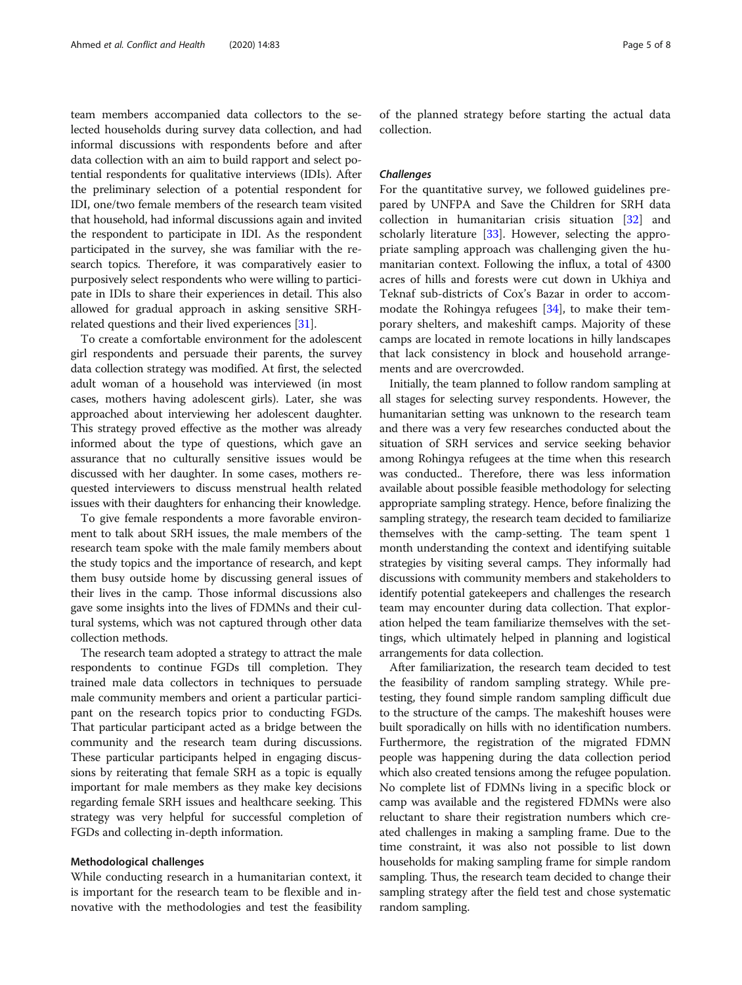team members accompanied data collectors to the selected households during survey data collection, and had informal discussions with respondents before and after data collection with an aim to build rapport and select potential respondents for qualitative interviews (IDIs). After the preliminary selection of a potential respondent for IDI, one/two female members of the research team visited that household, had informal discussions again and invited the respondent to participate in IDI. As the respondent participated in the survey, she was familiar with the research topics. Therefore, it was comparatively easier to purposively select respondents who were willing to participate in IDIs to share their experiences in detail. This also allowed for gradual approach in asking sensitive SRHrelated questions and their lived experiences [\[31](#page-7-0)].

To create a comfortable environment for the adolescent girl respondents and persuade their parents, the survey data collection strategy was modified. At first, the selected adult woman of a household was interviewed (in most cases, mothers having adolescent girls). Later, she was approached about interviewing her adolescent daughter. This strategy proved effective as the mother was already informed about the type of questions, which gave an assurance that no culturally sensitive issues would be discussed with her daughter. In some cases, mothers requested interviewers to discuss menstrual health related issues with their daughters for enhancing their knowledge.

To give female respondents a more favorable environment to talk about SRH issues, the male members of the research team spoke with the male family members about the study topics and the importance of research, and kept them busy outside home by discussing general issues of their lives in the camp. Those informal discussions also gave some insights into the lives of FDMNs and their cultural systems, which was not captured through other data collection methods.

The research team adopted a strategy to attract the male respondents to continue FGDs till completion. They trained male data collectors in techniques to persuade male community members and orient a particular participant on the research topics prior to conducting FGDs. That particular participant acted as a bridge between the community and the research team during discussions. These particular participants helped in engaging discussions by reiterating that female SRH as a topic is equally important for male members as they make key decisions regarding female SRH issues and healthcare seeking. This strategy was very helpful for successful completion of FGDs and collecting in-depth information.

#### Methodological challenges

While conducting research in a humanitarian context, it is important for the research team to be flexible and innovative with the methodologies and test the feasibility of the planned strategy before starting the actual data collection.

#### **Challenges**

For the quantitative survey, we followed guidelines prepared by UNFPA and Save the Children for SRH data collection in humanitarian crisis situation [\[32](#page-7-0)] and scholarly literature  $[33]$  $[33]$ . However, selecting the appropriate sampling approach was challenging given the humanitarian context. Following the influx, a total of 4300 acres of hills and forests were cut down in Ukhiya and Teknaf sub-districts of Cox's Bazar in order to accommodate the Rohingya refugees [[34\]](#page-7-0), to make their temporary shelters, and makeshift camps. Majority of these camps are located in remote locations in hilly landscapes that lack consistency in block and household arrangements and are overcrowded.

Initially, the team planned to follow random sampling at all stages for selecting survey respondents. However, the humanitarian setting was unknown to the research team and there was a very few researches conducted about the situation of SRH services and service seeking behavior among Rohingya refugees at the time when this research was conducted.. Therefore, there was less information available about possible feasible methodology for selecting appropriate sampling strategy. Hence, before finalizing the sampling strategy, the research team decided to familiarize themselves with the camp-setting. The team spent 1 month understanding the context and identifying suitable strategies by visiting several camps. They informally had discussions with community members and stakeholders to identify potential gatekeepers and challenges the research team may encounter during data collection. That exploration helped the team familiarize themselves with the settings, which ultimately helped in planning and logistical arrangements for data collection.

After familiarization, the research team decided to test the feasibility of random sampling strategy. While pretesting, they found simple random sampling difficult due to the structure of the camps. The makeshift houses were built sporadically on hills with no identification numbers. Furthermore, the registration of the migrated FDMN people was happening during the data collection period which also created tensions among the refugee population. No complete list of FDMNs living in a specific block or camp was available and the registered FDMNs were also reluctant to share their registration numbers which created challenges in making a sampling frame. Due to the time constraint, it was also not possible to list down households for making sampling frame for simple random sampling. Thus, the research team decided to change their sampling strategy after the field test and chose systematic random sampling.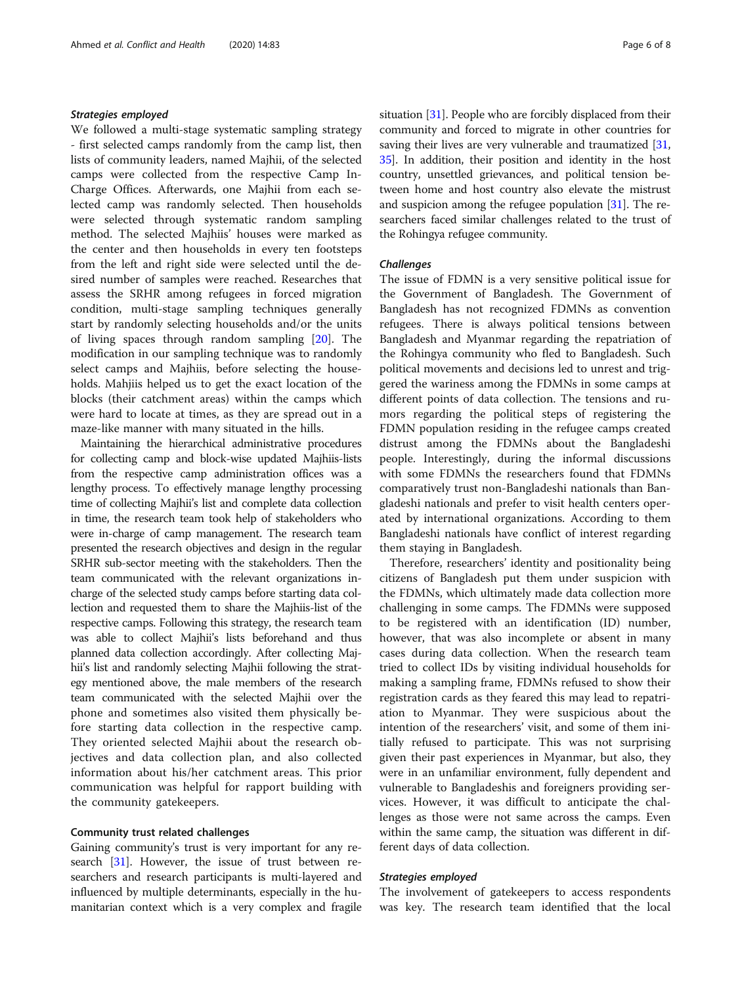#### Strategies employed

We followed a multi-stage systematic sampling strategy - first selected camps randomly from the camp list, then lists of community leaders, named Majhii, of the selected camps were collected from the respective Camp In-Charge Offices. Afterwards, one Majhii from each selected camp was randomly selected. Then households were selected through systematic random sampling method. The selected Majhiis' houses were marked as the center and then households in every ten footsteps from the left and right side were selected until the desired number of samples were reached. Researches that assess the SRHR among refugees in forced migration condition, multi-stage sampling techniques generally start by randomly selecting households and/or the units of living spaces through random sampling [\[20](#page-7-0)]. The modification in our sampling technique was to randomly select camps and Majhiis, before selecting the households. Mahjiis helped us to get the exact location of the blocks (their catchment areas) within the camps which were hard to locate at times, as they are spread out in a maze-like manner with many situated in the hills.

Maintaining the hierarchical administrative procedures for collecting camp and block-wise updated Majhiis-lists from the respective camp administration offices was a lengthy process. To effectively manage lengthy processing time of collecting Majhii's list and complete data collection in time, the research team took help of stakeholders who were in-charge of camp management. The research team presented the research objectives and design in the regular SRHR sub-sector meeting with the stakeholders. Then the team communicated with the relevant organizations incharge of the selected study camps before starting data collection and requested them to share the Majhiis-list of the respective camps. Following this strategy, the research team was able to collect Majhii's lists beforehand and thus planned data collection accordingly. After collecting Majhii's list and randomly selecting Majhii following the strategy mentioned above, the male members of the research team communicated with the selected Majhii over the phone and sometimes also visited them physically before starting data collection in the respective camp. They oriented selected Majhii about the research objectives and data collection plan, and also collected information about his/her catchment areas. This prior communication was helpful for rapport building with the community gatekeepers.

#### Community trust related challenges

Gaining community's trust is very important for any research [\[31](#page-7-0)]. However, the issue of trust between researchers and research participants is multi-layered and influenced by multiple determinants, especially in the humanitarian context which is a very complex and fragile situation [\[31\]](#page-7-0). People who are forcibly displaced from their community and forced to migrate in other countries for saving their lives are very vulnerable and traumatized [[31](#page-7-0), [35](#page-7-0)]. In addition, their position and identity in the host country, unsettled grievances, and political tension between home and host country also elevate the mistrust and suspicion among the refugee population [\[31\]](#page-7-0). The researchers faced similar challenges related to the trust of the Rohingya refugee community.

#### **Challenges**

The issue of FDMN is a very sensitive political issue for the Government of Bangladesh. The Government of Bangladesh has not recognized FDMNs as convention refugees. There is always political tensions between Bangladesh and Myanmar regarding the repatriation of the Rohingya community who fled to Bangladesh. Such political movements and decisions led to unrest and triggered the wariness among the FDMNs in some camps at different points of data collection. The tensions and rumors regarding the political steps of registering the FDMN population residing in the refugee camps created distrust among the FDMNs about the Bangladeshi people. Interestingly, during the informal discussions with some FDMNs the researchers found that FDMNs comparatively trust non-Bangladeshi nationals than Bangladeshi nationals and prefer to visit health centers operated by international organizations. According to them Bangladeshi nationals have conflict of interest regarding them staying in Bangladesh.

Therefore, researchers' identity and positionality being citizens of Bangladesh put them under suspicion with the FDMNs, which ultimately made data collection more challenging in some camps. The FDMNs were supposed to be registered with an identification (ID) number, however, that was also incomplete or absent in many cases during data collection. When the research team tried to collect IDs by visiting individual households for making a sampling frame, FDMNs refused to show their registration cards as they feared this may lead to repatriation to Myanmar. They were suspicious about the intention of the researchers' visit, and some of them initially refused to participate. This was not surprising given their past experiences in Myanmar, but also, they were in an unfamiliar environment, fully dependent and vulnerable to Bangladeshis and foreigners providing services. However, it was difficult to anticipate the challenges as those were not same across the camps. Even within the same camp, the situation was different in different days of data collection.

#### Strategies employed

The involvement of gatekeepers to access respondents was key. The research team identified that the local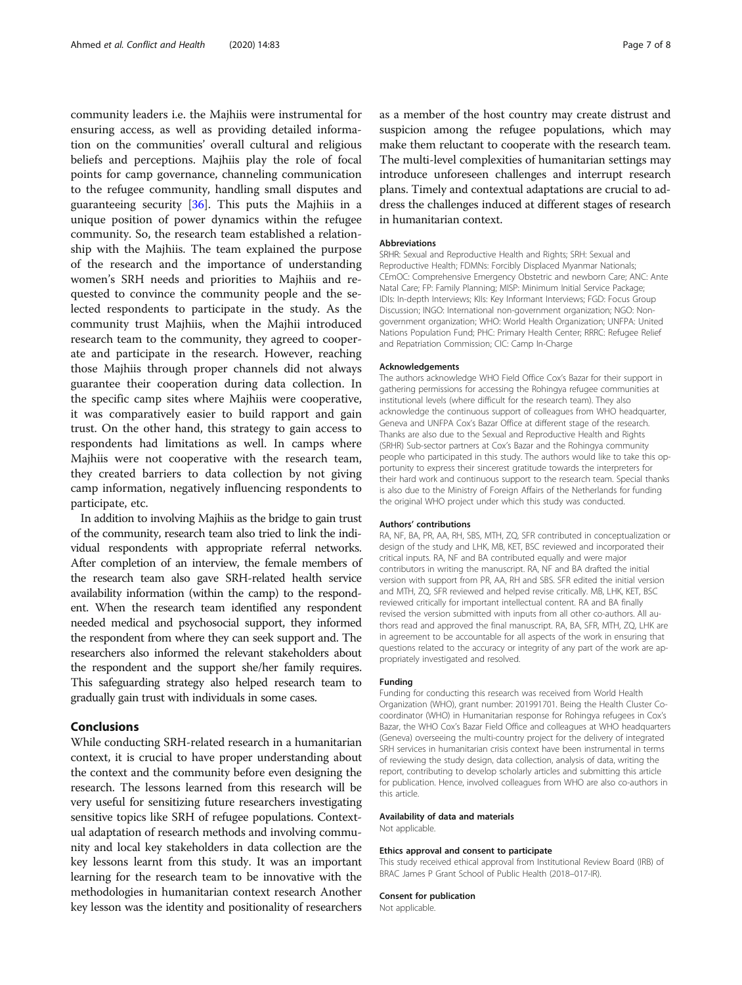community leaders i.e. the Majhiis were instrumental for ensuring access, as well as providing detailed information on the communities' overall cultural and religious beliefs and perceptions. Majhiis play the role of focal points for camp governance, channeling communication to the refugee community, handling small disputes and guaranteeing security [\[36\]](#page-7-0). This puts the Majhiis in a unique position of power dynamics within the refugee community. So, the research team established a relationship with the Majhiis. The team explained the purpose of the research and the importance of understanding women's SRH needs and priorities to Majhiis and requested to convince the community people and the selected respondents to participate in the study. As the community trust Majhiis, when the Majhii introduced research team to the community, they agreed to cooperate and participate in the research. However, reaching those Majhiis through proper channels did not always guarantee their cooperation during data collection. In the specific camp sites where Majhiis were cooperative, it was comparatively easier to build rapport and gain trust. On the other hand, this strategy to gain access to respondents had limitations as well. In camps where Majhiis were not cooperative with the research team, they created barriers to data collection by not giving camp information, negatively influencing respondents to participate, etc.

In addition to involving Majhiis as the bridge to gain trust of the community, research team also tried to link the individual respondents with appropriate referral networks. After completion of an interview, the female members of the research team also gave SRH-related health service availability information (within the camp) to the respondent. When the research team identified any respondent needed medical and psychosocial support, they informed the respondent from where they can seek support and. The researchers also informed the relevant stakeholders about the respondent and the support she/her family requires. This safeguarding strategy also helped research team to gradually gain trust with individuals in some cases.

### Conclusions

While conducting SRH-related research in a humanitarian context, it is crucial to have proper understanding about the context and the community before even designing the research. The lessons learned from this research will be very useful for sensitizing future researchers investigating sensitive topics like SRH of refugee populations. Contextual adaptation of research methods and involving community and local key stakeholders in data collection are the key lessons learnt from this study. It was an important learning for the research team to be innovative with the methodologies in humanitarian context research Another key lesson was the identity and positionality of researchers

as a member of the host country may create distrust and suspicion among the refugee populations, which may make them reluctant to cooperate with the research team. The multi-level complexities of humanitarian settings may introduce unforeseen challenges and interrupt research plans. Timely and contextual adaptations are crucial to address the challenges induced at different stages of research in humanitarian context.

#### Abbreviations

SRHR: Sexual and Reproductive Health and Rights; SRH: Sexual and Reproductive Health; FDMNs: Forcibly Displaced Myanmar Nationals; CEmOC: Comprehensive Emergency Obstetric and newborn Care; ANC: Ante Natal Care; FP: Family Planning; MISP: Minimum Initial Service Package; IDIs: In-depth Interviews; KIIs: Key Informant Interviews; FGD: Focus Group Discussion; INGO: International non-government organization; NGO: Nongovernment organization; WHO: World Health Organization; UNFPA: United Nations Population Fund; PHC: Primary Health Center; RRRC: Refugee Relief and Repatriation Commission; CIC: Camp In-Charge

#### Acknowledgements

The authors acknowledge WHO Field Office Cox's Bazar for their support in gathering permissions for accessing the Rohingya refugee communities at institutional levels (where difficult for the research team). They also acknowledge the continuous support of colleagues from WHO headquarter, Geneva and UNFPA Cox's Bazar Office at different stage of the research. Thanks are also due to the Sexual and Reproductive Health and Rights (SRHR) Sub-sector partners at Cox's Bazar and the Rohingya community people who participated in this study. The authors would like to take this opportunity to express their sincerest gratitude towards the interpreters for their hard work and continuous support to the research team. Special thanks is also due to the Ministry of Foreign Affairs of the Netherlands for funding the original WHO project under which this study was conducted.

#### Authors' contributions

RA, NF, BA, PR, AA, RH, SBS, MTH, ZQ, SFR contributed in conceptualization or design of the study and LHK, MB, KET, BSC reviewed and incorporated their critical inputs. RA, NF and BA contributed equally and were major contributors in writing the manuscript. RA, NF and BA drafted the initial version with support from PR, AA, RH and SBS. SFR edited the initial version and MTH, ZQ, SFR reviewed and helped revise critically. MB, LHK, KET, BSC reviewed critically for important intellectual content. RA and BA finally revised the version submitted with inputs from all other co-authors. All authors read and approved the final manuscript. RA, BA, SFR, MTH, ZQ, LHK are in agreement to be accountable for all aspects of the work in ensuring that questions related to the accuracy or integrity of any part of the work are appropriately investigated and resolved.

#### Funding

Funding for conducting this research was received from World Health Organization (WHO), grant number: 201991701. Being the Health Cluster Cocoordinator (WHO) in Humanitarian response for Rohingya refugees in Cox's Bazar, the WHO Cox's Bazar Field Office and colleagues at WHO headquarters (Geneva) overseeing the multi-country project for the delivery of integrated SRH services in humanitarian crisis context have been instrumental in terms of reviewing the study design, data collection, analysis of data, writing the report, contributing to develop scholarly articles and submitting this article for publication. Hence, involved colleagues from WHO are also co-authors in this article.

#### Availability of data and materials

Not applicable.

#### Ethics approval and consent to participate

This study received ethical approval from Institutional Review Board (IRB) of BRAC James P Grant School of Public Health (2018–017-IR).

#### Consent for publication

Not applicable.